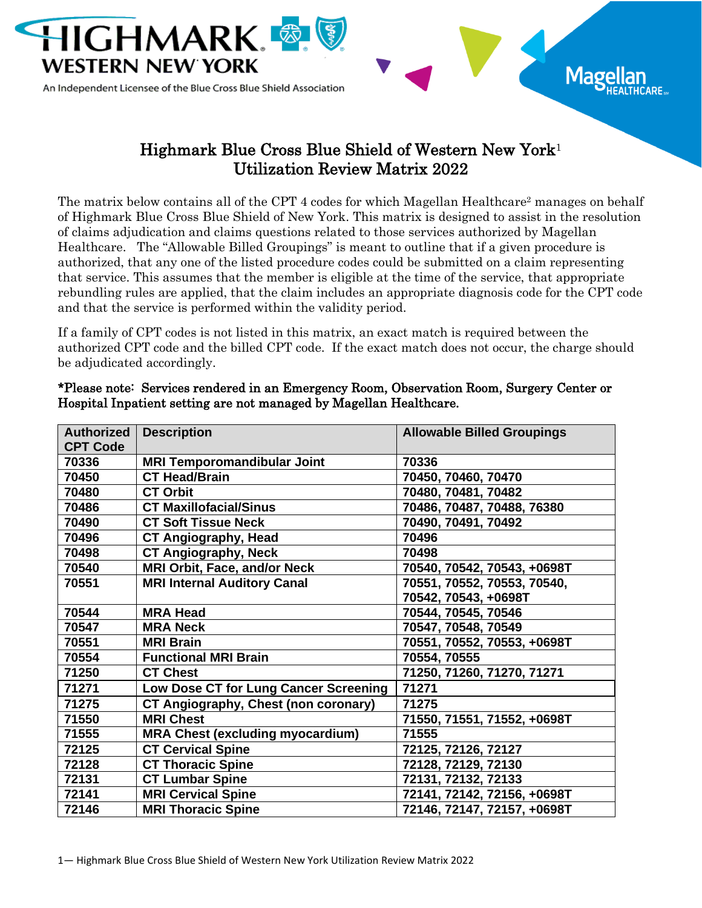

## Highmark Blue Cross Blue Shield of Western New York<sup>1</sup> Utilization Review Matrix 2022

 $M$ age

The matrix below contains all of the CPT 4 codes for which Magellan Healthcare<sup>2</sup> manages on behalf of Highmark Blue Cross Blue Shield of New York. This matrix is designed to assist in the resolution of claims adjudication and claims questions related to those services authorized by Magellan Healthcare. The "Allowable Billed Groupings" is meant to outline that if a given procedure is authorized, that any one of the listed procedure codes could be submitted on a claim representing that service. This assumes that the member is eligible at the time of the service, that appropriate rebundling rules are applied, that the claim includes an appropriate diagnosis code for the CPT code and that the service is performed within the validity period.

If a family of CPT codes is not listed in this matrix, an exact match is required between the authorized CPT code and the billed CPT code. If the exact match does not occur, the charge should be adjudicated accordingly.

| <b>Authorized</b><br><b>CPT Code</b> | <b>Description</b>                          | <b>Allowable Billed Groupings</b> |
|--------------------------------------|---------------------------------------------|-----------------------------------|
| 70336                                | <b>MRI Temporomandibular Joint</b>          | 70336                             |
| 70450                                | <b>CT Head/Brain</b>                        | 70450, 70460, 70470               |
| 70480                                | <b>CT Orbit</b>                             | 70480, 70481, 70482               |
| 70486                                | <b>CT Maxillofacial/Sinus</b>               | 70486, 70487, 70488, 76380        |
| 70490                                | <b>CT Soft Tissue Neck</b>                  | 70490, 70491, 70492               |
| 70496                                | <b>CT Angiography, Head</b>                 | 70496                             |
| 70498                                | <b>CT Angiography, Neck</b>                 | 70498                             |
| 70540                                | <b>MRI Orbit, Face, and/or Neck</b>         | 70540, 70542, 70543, +0698T       |
| 70551                                | <b>MRI Internal Auditory Canal</b>          | 70551, 70552, 70553, 70540,       |
|                                      |                                             | 70542, 70543, +0698T              |
| 70544                                | <b>MRA Head</b>                             | 70544, 70545, 70546               |
| 70547                                | <b>MRA Neck</b>                             | 70547, 70548, 70549               |
| 70551                                | <b>MRI Brain</b>                            | 70551, 70552, 70553, +0698T       |
| 70554                                | <b>Functional MRI Brain</b>                 | 70554, 70555                      |
| 71250                                | <b>CT Chest</b>                             | 71250, 71260, 71270, 71271        |
| 71271                                | Low Dose CT for Lung Cancer Screening       | 71271                             |
| 71275                                | <b>CT Angiography, Chest (non coronary)</b> | 71275                             |
| 71550                                | <b>MRI Chest</b>                            | 71550, 71551, 71552, +0698T       |
| 71555                                | <b>MRA Chest (excluding myocardium)</b>     | 71555                             |
| 72125                                | <b>CT Cervical Spine</b>                    | 72125, 72126, 72127               |
| 72128                                | <b>CT Thoracic Spine</b>                    | 72128, 72129, 72130               |
| 72131                                | <b>CT Lumbar Spine</b>                      | 72131, 72132, 72133               |
| 72141                                | <b>MRI Cervical Spine</b>                   | 72141, 72142, 72156, +0698T       |
| 72146                                | <b>MRI Thoracic Spine</b>                   | 72146, 72147, 72157, +0698T       |

\*Please note: Services rendered in an Emergency Room, Observation Room, Surgery Center or Hospital Inpatient setting are not managed by Magellan Healthcare.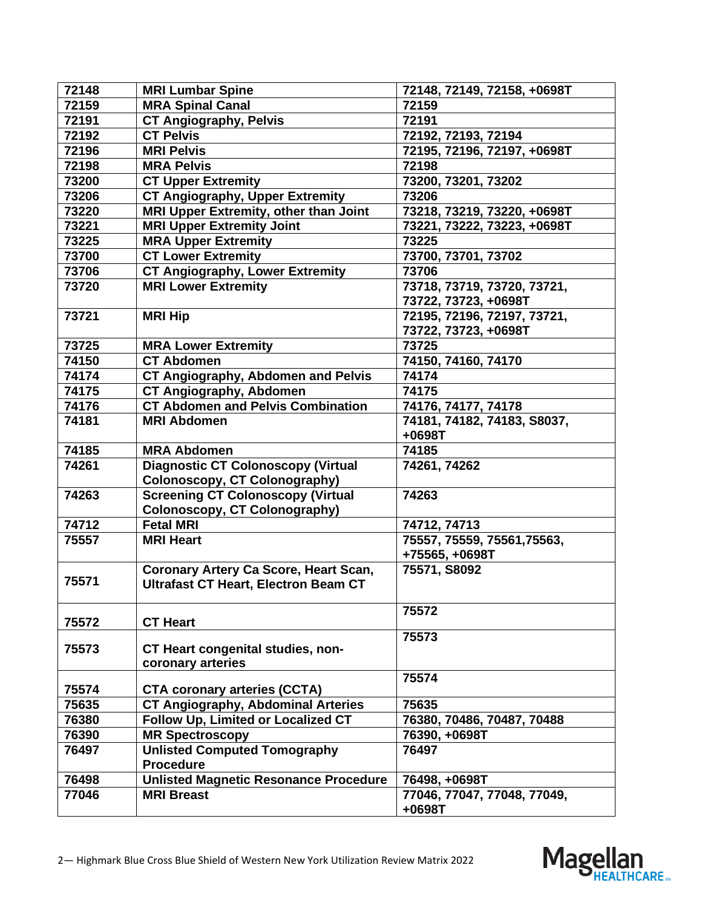| 72148 | <b>MRI Lumbar Spine</b>                      | 72148, 72149, 72158, +0698T |
|-------|----------------------------------------------|-----------------------------|
| 72159 | <b>MRA Spinal Canal</b>                      | 72159                       |
| 72191 | <b>CT Angiography, Pelvis</b>                | 72191                       |
| 72192 | <b>CT Pelvis</b>                             | 72192, 72193, 72194         |
| 72196 | <b>MRI Pelvis</b>                            | 72195, 72196, 72197, +0698T |
| 72198 | <b>MRA Pelvis</b>                            | 72198                       |
| 73200 | <b>CT Upper Extremity</b>                    | 73200, 73201, 73202         |
| 73206 | <b>CT Angiography, Upper Extremity</b>       | 73206                       |
| 73220 | MRI Upper Extremity, other than Joint        | 73218, 73219, 73220, +0698T |
| 73221 | <b>MRI Upper Extremity Joint</b>             | 73221, 73222, 73223, +0698T |
| 73225 | <b>MRA Upper Extremity</b>                   | 73225                       |
| 73700 | <b>CT Lower Extremity</b>                    | 73700, 73701, 73702         |
| 73706 | <b>CT Angiography, Lower Extremity</b>       | 73706                       |
| 73720 | <b>MRI Lower Extremity</b>                   | 73718, 73719, 73720, 73721, |
|       |                                              | 73722, 73723, +0698T        |
| 73721 | <b>MRI Hip</b>                               | 72195, 72196, 72197, 73721, |
|       |                                              | 73722, 73723, +0698T        |
| 73725 | <b>MRA Lower Extremity</b>                   | 73725                       |
| 74150 | <b>CT Abdomen</b>                            | 74150, 74160, 74170         |
| 74174 | <b>CT Angiography, Abdomen and Pelvis</b>    | 74174                       |
| 74175 | <b>CT Angiography, Abdomen</b>               | 74175                       |
| 74176 | <b>CT Abdomen and Pelvis Combination</b>     | 74176, 74177, 74178         |
| 74181 | <b>MRI Abdomen</b>                           | 74181, 74182, 74183, S8037, |
|       |                                              | $+0698T$                    |
| 74185 | <b>MRA Abdomen</b>                           | 74185                       |
| 74261 | <b>Diagnostic CT Colonoscopy (Virtual</b>    | 74261, 74262                |
|       | Colonoscopy, CT Colonography)                |                             |
| 74263 | <b>Screening CT Colonoscopy (Virtual</b>     | 74263                       |
|       | <b>Colonoscopy, CT Colonography)</b>         |                             |
| 74712 | <b>Fetal MRI</b>                             | 74712, 74713                |
| 75557 | <b>MRI Heart</b>                             | 75557, 75559, 75561, 75563, |
|       |                                              | +75565, +0698T              |
|       | Coronary Artery Ca Score, Heart Scan,        | 75571, S8092                |
| 75571 | <b>Ultrafast CT Heart, Electron Beam CT</b>  |                             |
|       |                                              |                             |
| 75572 | <b>CT Heart</b>                              | 75572                       |
|       |                                              | 75573                       |
| 75573 | CT Heart congenital studies, non-            |                             |
|       | coronary arteries                            |                             |
|       |                                              | 75574                       |
| 75574 | <b>CTA coronary arteries (CCTA)</b>          |                             |
| 75635 | <b>CT Angiography, Abdominal Arteries</b>    | 75635                       |
| 76380 | Follow Up, Limited or Localized CT           | 76380, 70486, 70487, 70488  |
| 76390 | <b>MR Spectroscopy</b>                       | 76390, +0698T               |
| 76497 | <b>Unlisted Computed Tomography</b>          | 76497                       |
|       | <b>Procedure</b>                             |                             |
| 76498 | <b>Unlisted Magnetic Resonance Procedure</b> | 76498, +0698T               |
| 77046 | <b>MRI Breast</b>                            | 77046, 77047, 77048, 77049, |
|       |                                              | +0698T                      |

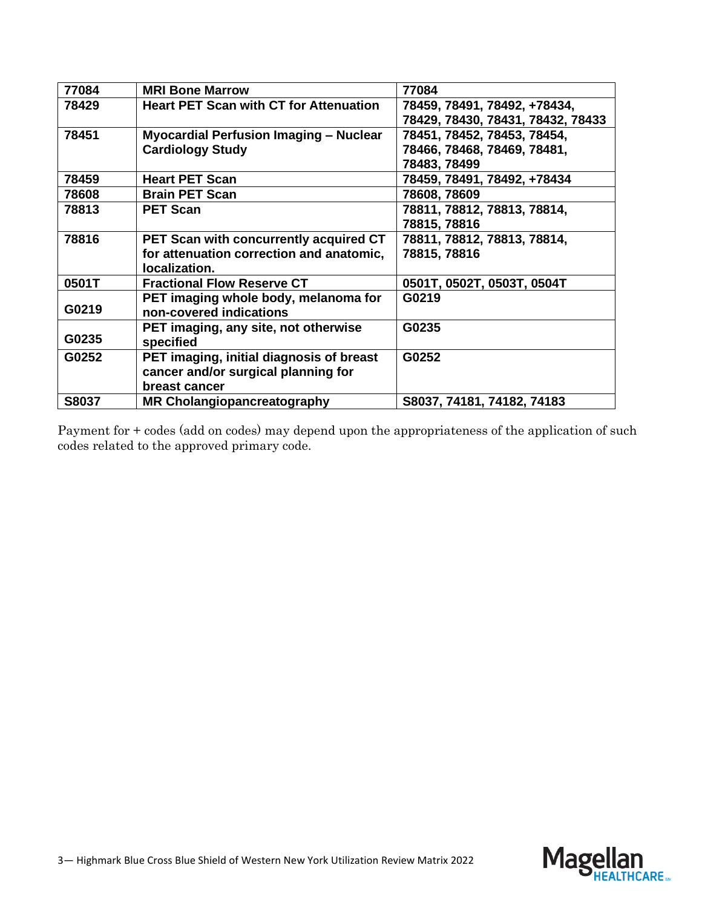| 77084 | <b>MRI Bone Marrow</b>                        | 77084                             |
|-------|-----------------------------------------------|-----------------------------------|
| 78429 | <b>Heart PET Scan with CT for Attenuation</b> | 78459, 78491, 78492, +78434,      |
|       |                                               | 78429, 78430, 78431, 78432, 78433 |
| 78451 | Myocardial Perfusion Imaging - Nuclear        | 78451, 78452, 78453, 78454,       |
|       | <b>Cardiology Study</b>                       | 78466, 78468, 78469, 78481,       |
|       |                                               | 78483, 78499                      |
| 78459 | <b>Heart PET Scan</b>                         | 78459, 78491, 78492, +78434       |
| 78608 | <b>Brain PET Scan</b>                         | 78608, 78609                      |
| 78813 | <b>PET Scan</b>                               | 78811, 78812, 78813, 78814,       |
|       |                                               | 78815, 78816                      |
| 78816 | PET Scan with concurrently acquired CT        | 78811, 78812, 78813, 78814,       |
|       | for attenuation correction and anatomic,      | 78815, 78816                      |
|       | localization.                                 |                                   |
| 0501T | <b>Fractional Flow Reserve CT</b>             | 0501T, 0502T, 0503T, 0504T        |
|       | PET imaging whole body, melanoma for          | G0219                             |
| G0219 | non-covered indications                       |                                   |
|       | PET imaging, any site, not otherwise          | G0235                             |
| G0235 | specified                                     |                                   |
| G0252 | PET imaging, initial diagnosis of breast      | G0252                             |
|       | cancer and/or surgical planning for           |                                   |
|       | breast cancer                                 |                                   |
| S8037 | MR Cholangiopancreatography                   | S8037, 74181, 74182, 74183        |

Payment for + codes (add on codes) may depend upon the appropriateness of the application of such codes related to the approved primary code.